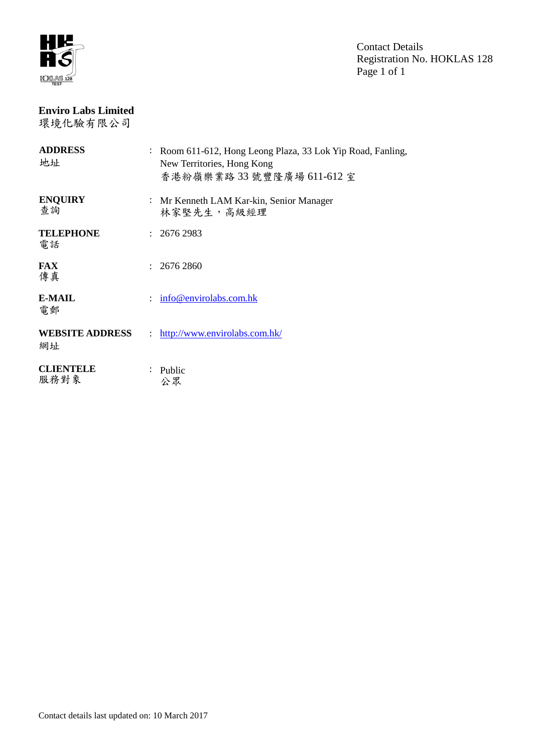

Contact Details Registration No. HOKLAS 128 Page 1 of 1

# **Enviro Labs Limited**

環境化驗有限公司

| <b>ADDRESS</b><br>地址         |              | : Room 611-612, Hong Leong Plaza, 33 Lok Yip Road, Fanling,<br>New Territories, Hong Kong<br>香港粉嶺樂業路33號豐隆廣場 611-612室 |
|------------------------------|--------------|----------------------------------------------------------------------------------------------------------------------|
| <b>ENQUIRY</b><br>查詢         |              | : Mr Kenneth LAM Kar-kin, Senior Manager<br>林家堅先生, 高級經理                                                              |
| <b>TELEPHONE</b><br>電話       |              | : 26762983                                                                                                           |
| <b>FAX</b><br>傳真             |              | 2676 2860                                                                                                            |
| <b>E-MAIL</b><br>電郵          |              | info@envirolabs.com.hk                                                                                               |
| <b>WEBSITE ADDRESS</b><br>網址 | $\mathbf{L}$ | http://www.envirolabs.com.hk/                                                                                        |
| <b>CLIENTELE</b><br>服務對象     |              | Public<br>公眾                                                                                                         |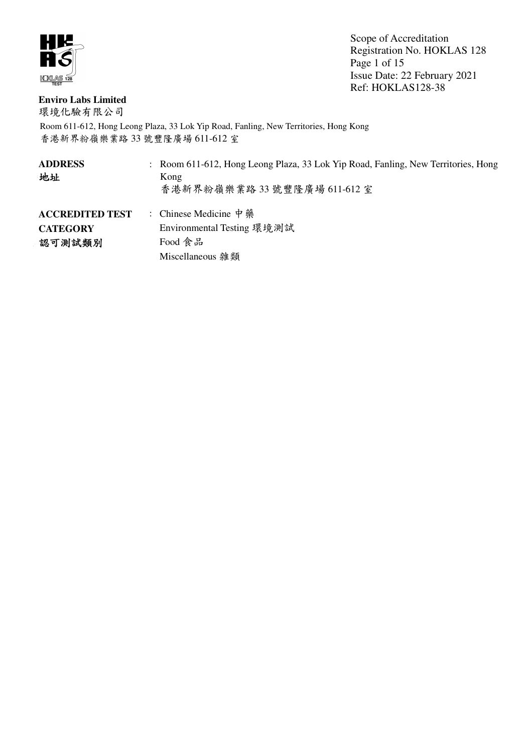

Scope of Accreditation Registration No. HOKLAS 128 Page 1 of 15 Issue Date: 22 February 2021 Ref: HOKLAS128-38

# **Enviro Labs Limited**

環境化驗有限公司

| <b>ADDRESS</b><br>地址                                | : Room 611-612, Hong Leong Plaza, 33 Lok Yip Road, Fanling, New Territories, Hong<br>Kong<br>香港新界粉嶺樂業路 33 號豐隆廣場 611-612 室 |
|-----------------------------------------------------|---------------------------------------------------------------------------------------------------------------------------|
| <b>ACCREDITED TEST</b><br><b>CATEGORY</b><br>認可測試類別 | : Chinese Medicine 中 藥<br>Environmental Testing 環境測試<br>Food 食品<br>Miscellaneous 雜類                                       |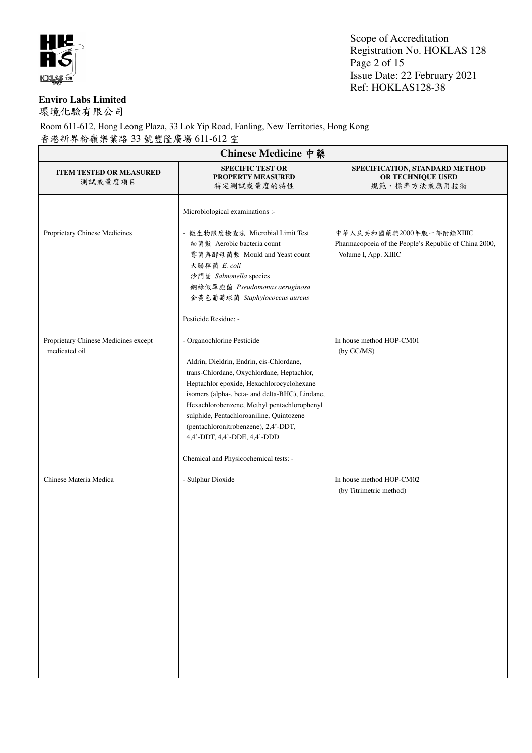

Scope of Accreditation Registration No. HOKLAS 128 Page 2 of 15 Issue Date: 22 February 2021 Ref: HOKLAS128-38

## **Enviro Labs Limited**

環境化驗有限公司

| Chinese Medicine 中藥                                   |                                                                                                                                                                                                                                                                                                                                                                                                                                  |                                                                                                           |  |
|-------------------------------------------------------|----------------------------------------------------------------------------------------------------------------------------------------------------------------------------------------------------------------------------------------------------------------------------------------------------------------------------------------------------------------------------------------------------------------------------------|-----------------------------------------------------------------------------------------------------------|--|
| <b>ITEM TESTED OR MEASURED</b><br>測試或量度項目             | <b>SPECIFIC TEST OR</b><br><b>PROPERTY MEASURED</b><br>特定測試或量度的特性                                                                                                                                                                                                                                                                                                                                                                | SPECIFICATION, STANDARD METHOD<br>OR TECHNIQUE USED<br>規範、標準方法或應用技術                                       |  |
| Proprietary Chinese Medicines                         | Microbiological examinations :-<br>- 微生物限度檢查法 Microbial Limit Test<br>細菌數 Aerobic bacteria count<br>霉菌與酵母菌數 Mould and Yeast count<br>大腸桿菌 E. coli<br>沙門菌 Salmonella species<br>銅綠假單胞菌 Pseudomonas aeruginosa<br>金黃色葡萄球菌 Staphylococcus aureus<br>Pesticide Residue: -                                                                                                                                                            | 中華人民共和國藥典2000年版一部附錄XIIIC<br>Pharmacopoeia of the People's Republic of China 2000,<br>Volume I, App. XIIIC |  |
| Proprietary Chinese Medicines except<br>medicated oil | - Organochlorine Pesticide<br>Aldrin, Dieldrin, Endrin, cis-Chlordane,<br>trans-Chlordane, Oxychlordane, Heptachlor,<br>Heptachlor epoxide, Hexachlorocyclohexane<br>isomers (alpha-, beta- and delta-BHC), Lindane,<br>Hexachlorobenzene, Methyl pentachlorophenyl<br>sulphide, Pentachloroaniline, Quintozene<br>(pentachloronitrobenzene), 2,4'-DDT,<br>4,4'-DDT, 4,4'-DDE, 4,4'-DDD<br>Chemical and Physicochemical tests: - | In house method HOP-CM01<br>(by GC/MS)                                                                    |  |
| Chinese Materia Medica                                | - Sulphur Dioxide                                                                                                                                                                                                                                                                                                                                                                                                                | In house method HOP-CM02<br>(by Titrimetric method)                                                       |  |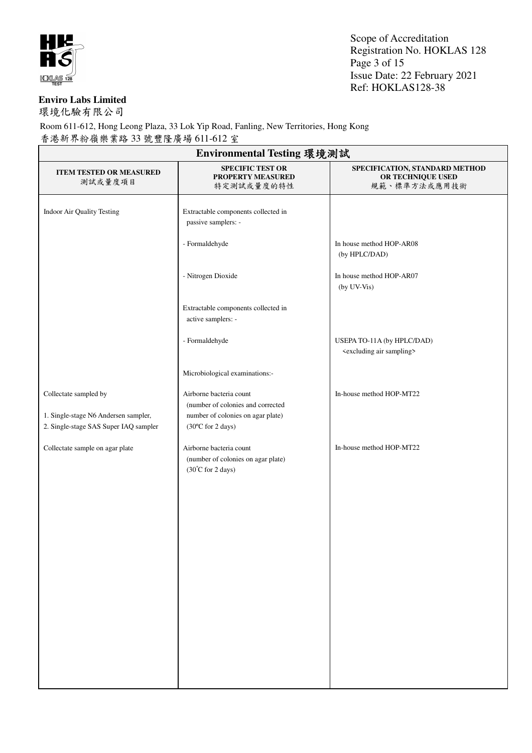

Scope of Accreditation Registration No. HOKLAS 128 Page 3 of 15 Issue Date: 22 February 2021 Ref: HOKLAS128-38

#### **Enviro Labs Limited**

環境化驗有限公司

| Environmental Testing 環境測試                                                                             |                                                                                                                        |                                                                          |  |
|--------------------------------------------------------------------------------------------------------|------------------------------------------------------------------------------------------------------------------------|--------------------------------------------------------------------------|--|
| <b>ITEM TESTED OR MEASURED</b><br>測試或量度項目                                                              | <b>SPECIFIC TEST OR</b><br>PROPERTY MEASURED<br>特定測試或量度的特性                                                             | SPECIFICATION, STANDARD METHOD<br>OR TECHNIQUE USED<br>規範、標準方法或應用技術      |  |
| Indoor Air Quality Testing                                                                             | Extractable components collected in<br>passive samplers: -                                                             |                                                                          |  |
|                                                                                                        | - Formaldehyde                                                                                                         | In house method HOP-AR08<br>(by HPLC/DAD)                                |  |
|                                                                                                        | - Nitrogen Dioxide                                                                                                     | In house method HOP-AR07<br>(by UV-Vis)                                  |  |
|                                                                                                        | Extractable components collected in<br>active samplers: -                                                              |                                                                          |  |
|                                                                                                        | - Formaldehyde                                                                                                         | USEPA TO-11A (by HPLC/DAD)<br><excluding air="" sampling=""></excluding> |  |
|                                                                                                        | Microbiological examinations:-                                                                                         |                                                                          |  |
| Collectate sampled by<br>1. Single-stage N6 Andersen sampler,<br>2. Single-stage SAS Super IAQ sampler | Airborne bacteria count<br>(number of colonies and corrected<br>number of colonies on agar plate)<br>(30°C for 2 days) | In-house method HOP-MT22                                                 |  |
| Collectate sample on agar plate                                                                        | Airborne bacteria count<br>(number of colonies on agar plate)<br>(30°C for 2 days)                                     | In-house method HOP-MT22                                                 |  |
|                                                                                                        |                                                                                                                        |                                                                          |  |
|                                                                                                        |                                                                                                                        |                                                                          |  |
|                                                                                                        |                                                                                                                        |                                                                          |  |
|                                                                                                        |                                                                                                                        |                                                                          |  |
|                                                                                                        |                                                                                                                        |                                                                          |  |
|                                                                                                        |                                                                                                                        |                                                                          |  |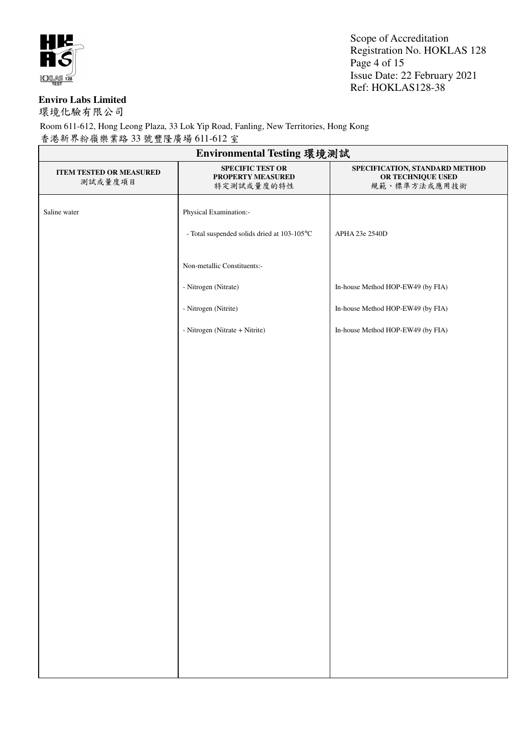

Scope of Accreditation Registration No. HOKLAS 128 Page 4 of 15 Issue Date: 22 February 2021 Ref: HOKLAS128-38

#### **Enviro Labs Limited**

環境化驗有限公司

| Environmental Testing 環境測試                |                                                            |                                                                     |
|-------------------------------------------|------------------------------------------------------------|---------------------------------------------------------------------|
| <b>ITEM TESTED OR MEASURED</b><br>測試或量度項目 | <b>SPECIFIC TEST OR</b><br>PROPERTY MEASURED<br>特定測試或量度的特性 | SPECIFICATION, STANDARD METHOD<br>OR TECHNIQUE USED<br>規範、標準方法或應用技術 |
| Saline water                              | Physical Examination:-                                     |                                                                     |
|                                           | - Total suspended solids dried at 103-105°C                | APHA 23e 2540D                                                      |
|                                           | Non-metallic Constituents:-                                |                                                                     |
|                                           | - Nitrogen (Nitrate)                                       | In-house Method HOP-EW49 (by FIA)                                   |
|                                           | - Nitrogen (Nitrite)                                       | In-house Method HOP-EW49 (by FIA)                                   |
|                                           | - Nitrogen (Nitrate + Nitrite)                             | In-house Method HOP-EW49 (by FIA)                                   |
|                                           |                                                            |                                                                     |
|                                           |                                                            |                                                                     |
|                                           |                                                            |                                                                     |
|                                           |                                                            |                                                                     |
|                                           |                                                            |                                                                     |
|                                           |                                                            |                                                                     |
|                                           |                                                            |                                                                     |
|                                           |                                                            |                                                                     |
|                                           |                                                            |                                                                     |
|                                           |                                                            |                                                                     |
|                                           |                                                            |                                                                     |
|                                           |                                                            |                                                                     |
|                                           |                                                            |                                                                     |
|                                           |                                                            |                                                                     |
|                                           |                                                            |                                                                     |
|                                           |                                                            |                                                                     |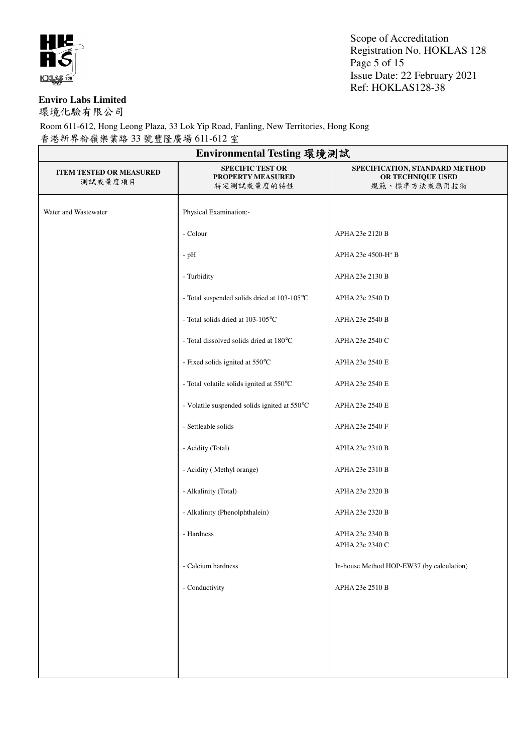

Scope of Accreditation Registration No. HOKLAS 128 Page 5 of 15 Issue Date: 22 February 2021 Ref: HOKLAS128-38

#### **Enviro Labs Limited**

環境化驗有限公司

| Environmental Testing 環境測試                |                                                            |                                                                     |  |
|-------------------------------------------|------------------------------------------------------------|---------------------------------------------------------------------|--|
| <b>ITEM TESTED OR MEASURED</b><br>測試或量度項目 | <b>SPECIFIC TEST OR</b><br>PROPERTY MEASURED<br>特定測試或量度的特性 | SPECIFICATION, STANDARD METHOD<br>OR TECHNIQUE USED<br>規範、標準方法或應用技術 |  |
| Water and Wastewater                      | Physical Examination:-                                     |                                                                     |  |
|                                           | - Colour                                                   | APHA 23e 2120 B                                                     |  |
|                                           | $-pH$                                                      | APHA 23e 4500-H <sup>+</sup> B                                      |  |
|                                           | - Turbidity                                                | APHA 23e 2130 B                                                     |  |
|                                           | - Total suspended solids dried at 103-105°C                | APHA 23e 2540 D                                                     |  |
|                                           | - Total solids dried at 103-105°C                          | APHA 23e 2540 B                                                     |  |
|                                           | - Total dissolved solids dried at 180°C                    | APHA 23e 2540 C                                                     |  |
|                                           | - Fixed solids ignited at 550°C                            | APHA 23e 2540 E                                                     |  |
|                                           | - Total volatile solids ignited at 550°C                   | APHA 23e 2540 E                                                     |  |
|                                           | - Volatile suspended solids ignited at 550°C               | APHA 23e 2540 E                                                     |  |
|                                           | - Settleable solids                                        | APHA 23e 2540 F                                                     |  |
|                                           | - Acidity (Total)                                          | APHA 23e 2310 B                                                     |  |
|                                           | - Acidity (Methyl orange)                                  | APHA 23e 2310 B                                                     |  |
|                                           | - Alkalinity (Total)                                       | APHA 23e 2320 B                                                     |  |
|                                           | - Alkalinity (Phenolphthalein)                             | APHA 23e 2320 B                                                     |  |
|                                           | - Hardness                                                 | APHA 23e 2340 B<br>APHA 23e 2340 C                                  |  |
|                                           | - Calcium hardness                                         | In-house Method HOP-EW37 (by calculation)                           |  |
|                                           | - Conductivity                                             | APHA 23e 2510 B                                                     |  |
|                                           |                                                            |                                                                     |  |
|                                           |                                                            |                                                                     |  |
|                                           |                                                            |                                                                     |  |
|                                           |                                                            |                                                                     |  |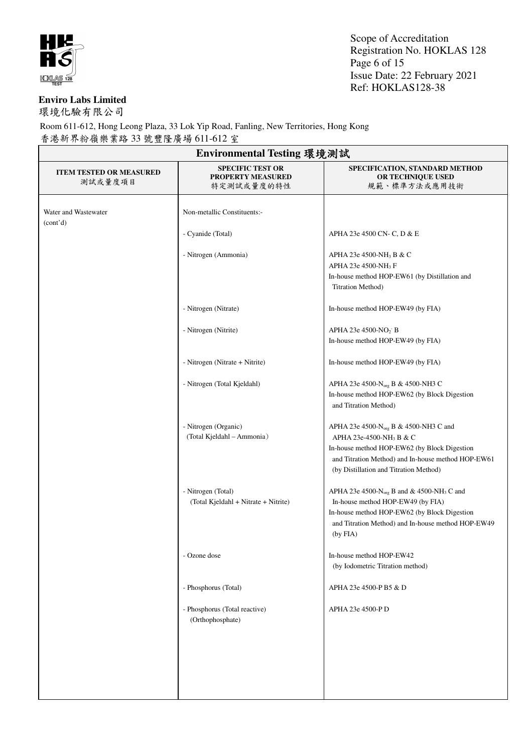

Scope of Accreditation Registration No. HOKLAS 128 Page 6 of 15 Issue Date: 22 February 2021 Ref: HOKLAS128-38

#### **Enviro Labs Limited**

環境化驗有限公司

| Environmental Testing 環境測試                |                                                                   |                                                                                                                                                                                                                                          |  |
|-------------------------------------------|-------------------------------------------------------------------|------------------------------------------------------------------------------------------------------------------------------------------------------------------------------------------------------------------------------------------|--|
| <b>ITEM TESTED OR MEASURED</b><br>測試或量度項目 | <b>SPECIFIC TEST OR</b><br><b>PROPERTY MEASURED</b><br>特定測試或量度的特性 | SPECIFICATION, STANDARD METHOD<br>OR TECHNIQUE USED<br>規範、標準方法或應用技術                                                                                                                                                                      |  |
| Water and Wastewater<br>(cont'd)          | Non-metallic Constituents:-                                       |                                                                                                                                                                                                                                          |  |
|                                           | - Cyanide (Total)                                                 | APHA 23e 4500 CN- C, D & E                                                                                                                                                                                                               |  |
|                                           | - Nitrogen (Ammonia)                                              | APHA 23e 4500-NH <sub>3</sub> B & C<br>APHA 23e 4500-NH <sub>3</sub> F<br>In-house method HOP-EW61 (by Distillation and<br>Titration Method)                                                                                             |  |
|                                           | - Nitrogen (Nitrate)                                              | In-house method HOP-EW49 (by FIA)                                                                                                                                                                                                        |  |
|                                           | - Nitrogen (Nitrite)                                              | APHA 23e 4500-NO <sub>2</sub> B<br>In-house method HOP-EW49 (by FIA)                                                                                                                                                                     |  |
|                                           | - Nitrogen (Nitrate + Nitrite)                                    | In-house method HOP-EW49 (by FIA)                                                                                                                                                                                                        |  |
|                                           | - Nitrogen (Total Kjeldahl)                                       | APHA 23e 4500-N <sub>org</sub> B & 4500-NH3 C<br>In-house method HOP-EW62 (by Block Digestion<br>and Titration Method)                                                                                                                   |  |
|                                           | - Nitrogen (Organic)<br>(Total Kjeldahl - Ammonia)                | APHA 23e 4500-N <sub>org</sub> B & 4500-NH3 C and<br>APHA 23e-4500-NH <sub>3</sub> B & C<br>In-house method HOP-EW62 (by Block Digestion<br>and Titration Method) and In-house method HOP-EW61<br>(by Distillation and Titration Method) |  |
|                                           | - Nitrogen (Total)<br>(Total Kjeldahl + Nitrate + Nitrite)        | APHA 23e 4500- $N_{org}$ B and & 4500-NH <sub>3</sub> C and<br>In-house method HOP-EW49 (by FIA)<br>In-house method HOP-EW62 (by Block Digestion<br>and Titration Method) and In-house method HOP-EW49<br>(by FIA)                       |  |
|                                           | - Ozone dose                                                      | In-house method HOP-EW42<br>(by Iodometric Titration method)                                                                                                                                                                             |  |
|                                           | - Phosphorus (Total)                                              | APHA 23e 4500-P B5 & D                                                                                                                                                                                                                   |  |
|                                           | - Phosphorus (Total reactive)<br>(Orthophosphate)                 | APHA 23e 4500-P D                                                                                                                                                                                                                        |  |
|                                           |                                                                   |                                                                                                                                                                                                                                          |  |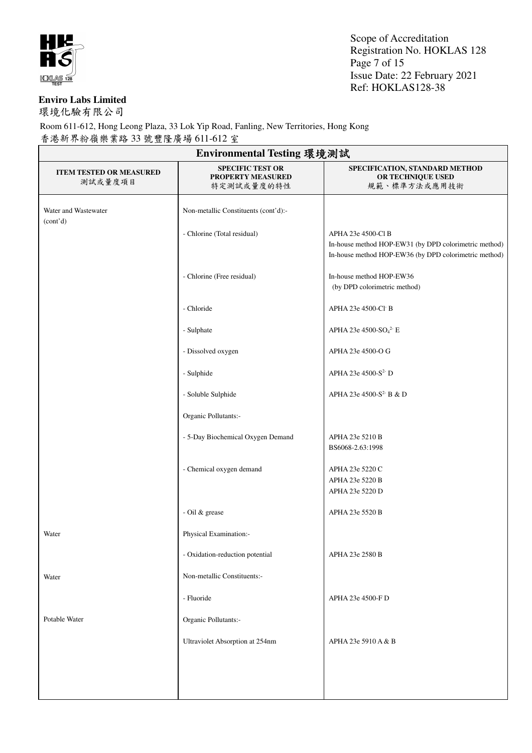

Scope of Accreditation Registration No. HOKLAS 128 Page 7 of 15 Issue Date: 22 February 2021 Ref: HOKLAS128-38

#### **Enviro Labs Limited**

環境化驗有限公司

| Environmental Testing 環境測試                |                                                            |                                                                                                                                      |  |
|-------------------------------------------|------------------------------------------------------------|--------------------------------------------------------------------------------------------------------------------------------------|--|
| <b>ITEM TESTED OR MEASURED</b><br>測試或量度項目 | <b>SPECIFIC TEST OR</b><br>PROPERTY MEASURED<br>特定測試或量度的特性 | SPECIFICATION, STANDARD METHOD<br>OR TECHNIQUE USED<br>規範、標準方法或應用技術                                                                  |  |
| Water and Wastewater<br>(cont'd)          | Non-metallic Constituents (cont'd):-                       |                                                                                                                                      |  |
|                                           | - Chlorine (Total residual)                                | APHA 23e 4500-Cl B<br>In-house method HOP-EW31 (by DPD colorimetric method)<br>In-house method HOP-EW36 (by DPD colorimetric method) |  |
|                                           | - Chlorine (Free residual)                                 | In-house method HOP-EW36<br>(by DPD colorimetric method)                                                                             |  |
|                                           | - Chloride                                                 | APHA 23e 4500-Cl B                                                                                                                   |  |
|                                           | - Sulphate                                                 | APHA 23e 4500-SO <sub>4</sub> <sup>2-</sup> E                                                                                        |  |
|                                           | - Dissolved oxygen                                         | APHA 23e 4500-O G                                                                                                                    |  |
|                                           | - Sulphide                                                 | APHA 23e 4500-S <sup>2-</sup> D                                                                                                      |  |
|                                           | - Soluble Sulphide                                         | APHA 23e 4500-S <sup>2-</sup> B & D                                                                                                  |  |
|                                           | Organic Pollutants:-                                       |                                                                                                                                      |  |
|                                           | - 5-Day Biochemical Oxygen Demand                          | APHA 23e 5210 B<br>BS6068-2.63:1998                                                                                                  |  |
|                                           | - Chemical oxygen demand                                   | APHA 23e 5220 C<br>APHA 23e 5220 B<br>APHA 23e 5220 D                                                                                |  |
|                                           | - Oil & grease                                             | APHA 23e 5520 B                                                                                                                      |  |
| Water                                     | Physical Examination:-                                     |                                                                                                                                      |  |
|                                           | - Oxidation-reduction potential                            | APHA 23e 2580 B                                                                                                                      |  |
| Water                                     | Non-metallic Constituents:-                                |                                                                                                                                      |  |
|                                           | - Fluoride                                                 | APHA 23e 4500-F D                                                                                                                    |  |
| Potable Water                             | Organic Pollutants:-                                       |                                                                                                                                      |  |
|                                           | Ultraviolet Absorption at 254nm                            | APHA 23e 5910 A & B                                                                                                                  |  |
|                                           |                                                            |                                                                                                                                      |  |
|                                           |                                                            |                                                                                                                                      |  |
|                                           |                                                            |                                                                                                                                      |  |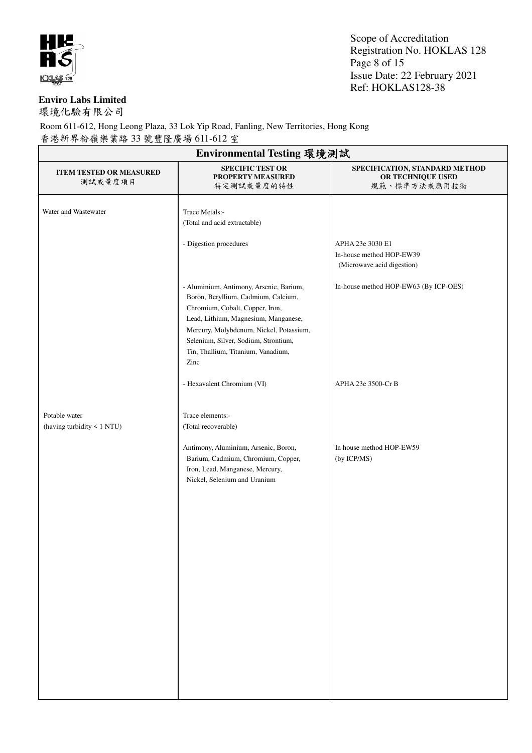

Scope of Accreditation Registration No. HOKLAS 128 Page 8 of 15 Issue Date: 22 February 2021 Ref: HOKLAS128-38

#### **Enviro Labs Limited**

環境化驗有限公司

| Environmental Testing 環境測試                  |                                                                                                                                                                                                                                                                                            |                                                                            |  |
|---------------------------------------------|--------------------------------------------------------------------------------------------------------------------------------------------------------------------------------------------------------------------------------------------------------------------------------------------|----------------------------------------------------------------------------|--|
| <b>ITEM TESTED OR MEASURED</b><br>測試或量度項目   | <b>SPECIFIC TEST OR</b><br>PROPERTY MEASURED<br>特定測試或量度的特性                                                                                                                                                                                                                                 | SPECIFICATION, STANDARD METHOD<br>OR TECHNIQUE USED<br>規範、標準方法或應用技術        |  |
| Water and Wastewater                        | Trace Metals:-<br>(Total and acid extractable)                                                                                                                                                                                                                                             |                                                                            |  |
|                                             | - Digestion procedures                                                                                                                                                                                                                                                                     | APHA 23e 3030 E1<br>In-house method HOP-EW39<br>(Microwave acid digestion) |  |
|                                             | - Aluminium, Antimony, Arsenic, Barium,<br>Boron, Beryllium, Cadmium, Calcium,<br>Chromium, Cobalt, Copper, Iron,<br>Lead, Lithium, Magnesium, Manganese,<br>Mercury, Molybdenum, Nickel, Potassium,<br>Selenium, Silver, Sodium, Strontium,<br>Tin, Thallium, Titanium, Vanadium,<br>Zinc | In-house method HOP-EW63 (By ICP-OES)                                      |  |
|                                             | - Hexavalent Chromium (VI)                                                                                                                                                                                                                                                                 | APHA 23e 3500-Cr B                                                         |  |
| Potable water<br>(having turbidity < 1 NTU) | Trace elements:-<br>(Total recoverable)<br>Antimony, Aluminium, Arsenic, Boron,<br>Barium, Cadmium, Chromium, Copper,<br>Iron, Lead, Manganese, Mercury,<br>Nickel, Selenium and Uranium                                                                                                   | In house method HOP-EW59<br>(by ICP/MS)                                    |  |
|                                             |                                                                                                                                                                                                                                                                                            |                                                                            |  |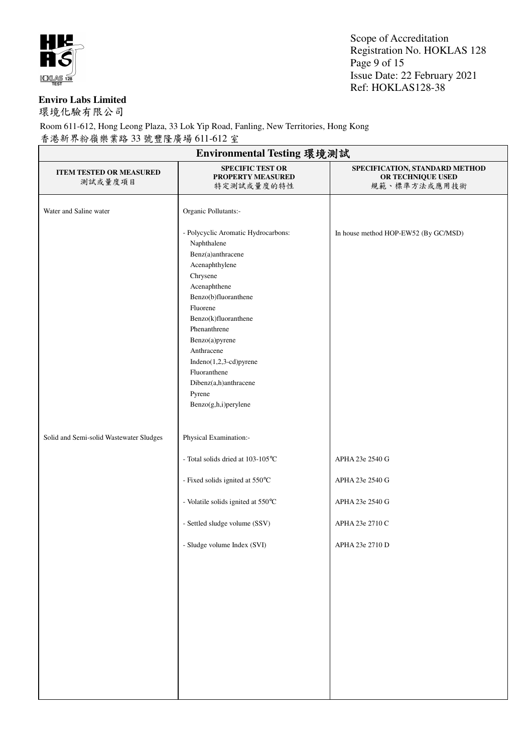

Scope of Accreditation Registration No. HOKLAS 128 Page 9 of 15 Issue Date: 22 February 2021 Ref: HOKLAS128-38

#### **Enviro Labs Limited**

環境化驗有限公司

| Environmental Testing 環境測試                |                                                                                                                                                                                                                                                                                                                                        |                                                                     |  |
|-------------------------------------------|----------------------------------------------------------------------------------------------------------------------------------------------------------------------------------------------------------------------------------------------------------------------------------------------------------------------------------------|---------------------------------------------------------------------|--|
| <b>ITEM TESTED OR MEASURED</b><br>測試或量度項目 | <b>SPECIFIC TEST OR</b><br>PROPERTY MEASURED<br>特定測試或量度的特性                                                                                                                                                                                                                                                                             | SPECIFICATION, STANDARD METHOD<br>OR TECHNIQUE USED<br>規範、標準方法或應用技術 |  |
| Water and Saline water                    | Organic Pollutants:-                                                                                                                                                                                                                                                                                                                   |                                                                     |  |
|                                           | - Polycyclic Aromatic Hydrocarbons:<br>Naphthalene<br>Benz(a)anthracene<br>Acenaphthylene<br>Chrysene<br>Acenaphthene<br>Benzo(b)fluoranthene<br>Fluorene<br>Benzo(k)fluoranthene<br>Phenanthrene<br>Benzo(a)pyrene<br>Anthracene<br>Indeno(1,2,3-cd)pyrene<br>Fluoranthene<br>Dibenz(a,h)anthracene<br>Pyrene<br>Benzo(g,h,i)perylene | In house method HOP-EW52 (By GC/MSD)                                |  |
| Solid and Semi-solid Wastewater Sludges   | Physical Examination:-                                                                                                                                                                                                                                                                                                                 |                                                                     |  |
|                                           | - Total solids dried at 103-105°C                                                                                                                                                                                                                                                                                                      | APHA 23e 2540 G                                                     |  |
|                                           | - Fixed solids ignited at 550°C                                                                                                                                                                                                                                                                                                        | APHA 23e 2540 G                                                     |  |
|                                           | - Volatile solids ignited at 550°C                                                                                                                                                                                                                                                                                                     | APHA 23e 2540 G                                                     |  |
|                                           | - Settled sludge volume (SSV)                                                                                                                                                                                                                                                                                                          | APHA 23e 2710 C                                                     |  |
|                                           | - Sludge volume Index (SVI)                                                                                                                                                                                                                                                                                                            | APHA 23e 2710 D                                                     |  |
|                                           |                                                                                                                                                                                                                                                                                                                                        |                                                                     |  |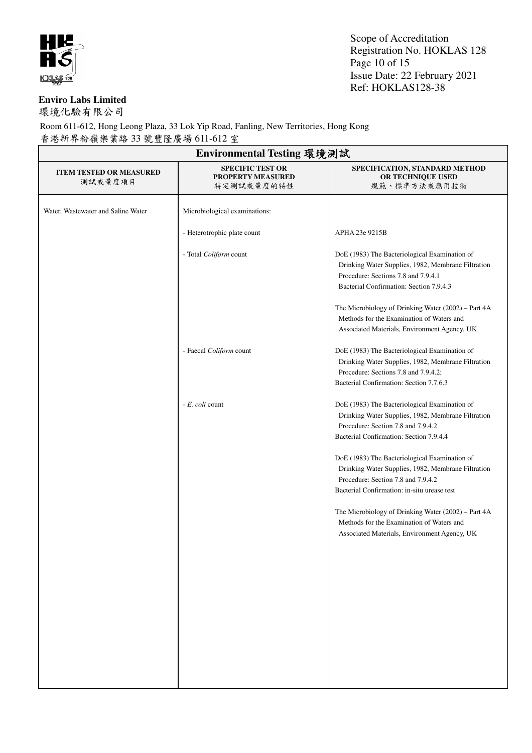

Scope of Accreditation Registration No. HOKLAS 128 Page 10 of 15 Issue Date: 22 February 2021 Ref: HOKLAS128-38

#### **Enviro Labs Limited**

環境化驗有限公司

| Environmental Testing 環境測試                |                                                                   |                                                                                                                                                                                                                                       |  |
|-------------------------------------------|-------------------------------------------------------------------|---------------------------------------------------------------------------------------------------------------------------------------------------------------------------------------------------------------------------------------|--|
| <b>ITEM TESTED OR MEASURED</b><br>測試或量度項目 | <b>SPECIFIC TEST OR</b><br><b>PROPERTY MEASURED</b><br>特定測試或量度的特性 | SPECIFICATION, STANDARD METHOD<br>OR TECHNIQUE USED<br>規範、標準方法或應用技術                                                                                                                                                                   |  |
| Water, Wastewater and Saline Water        | Microbiological examinations:                                     |                                                                                                                                                                                                                                       |  |
|                                           | - Heterotrophic plate count                                       | APHA 23e 9215B                                                                                                                                                                                                                        |  |
|                                           | - Total Coliform count                                            | DoE (1983) The Bacteriological Examination of<br>Drinking Water Supplies, 1982, Membrane Filtration<br>Procedure: Sections 7.8 and 7.9.4.1<br>Bacterial Confirmation: Section 7.9.4.3                                                 |  |
|                                           |                                                                   | The Microbiology of Drinking Water (2002) - Part 4A<br>Methods for the Examination of Waters and<br>Associated Materials, Environment Agency, UK                                                                                      |  |
|                                           | - Faecal Coliform count                                           | DoE (1983) The Bacteriological Examination of<br>Drinking Water Supplies, 1982, Membrane Filtration<br>Procedure: Sections 7.8 and 7.9.4.2;<br>Bacterial Confirmation: Section 7.7.6.3                                                |  |
|                                           | - E. coli count                                                   | DoE (1983) The Bacteriological Examination of<br>Drinking Water Supplies, 1982, Membrane Filtration<br>Procedure: Section 7.8 and 7.9.4.2<br>Bacterial Confirmation: Section 7.9.4.4<br>DoE (1983) The Bacteriological Examination of |  |
|                                           |                                                                   | Drinking Water Supplies, 1982, Membrane Filtration<br>Procedure: Section 7.8 and 7.9.4.2<br>Bacterial Confirmation: in-situ urease test                                                                                               |  |
|                                           |                                                                   | The Microbiology of Drinking Water (2002) – Part 4A<br>Methods for the Examination of Waters and<br>Associated Materials, Environment Agency, UK                                                                                      |  |
|                                           |                                                                   |                                                                                                                                                                                                                                       |  |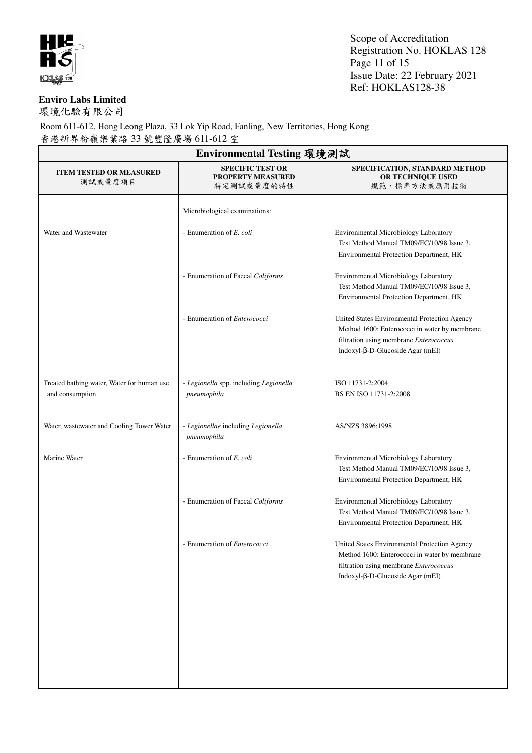

Scope of Accreditation Registration No. HOKLAS 128 Page 11 of 15 Issue Date: 22 February 2021 Ref: HOKLAS128-38

#### **Enviro Labs Limited**

環境化驗有限公司

| Environmental Testing 環境測試                                    |                                                                   |                                                                                                                                                                                |  |
|---------------------------------------------------------------|-------------------------------------------------------------------|--------------------------------------------------------------------------------------------------------------------------------------------------------------------------------|--|
| <b>ITEM TESTED OR MEASURED</b><br>測試或量度項目                     | <b>SPECIFIC TEST OR</b><br><b>PROPERTY MEASURED</b><br>特定測試或量度的特性 | SPECIFICATION, STANDARD METHOD<br>OR TECHNIQUE USED<br>規範、標準方法或應用技術                                                                                                            |  |
|                                                               | Microbiological examinations:                                     |                                                                                                                                                                                |  |
| Water and Wastewater                                          | - Enumeration of E. coli                                          | Environmental Microbiology Laboratory<br>Test Method Manual TM09/EC/10/98 Issue 3,<br>Environmental Protection Department, HK                                                  |  |
|                                                               | - Enumeration of Faecal Coliforms                                 | Environmental Microbiology Laboratory<br>Test Method Manual TM09/EC/10/98 Issue 3,<br>Environmental Protection Department, HK                                                  |  |
|                                                               | - Enumeration of Enterococci                                      | United States Environmental Protection Agency<br>Method 1600: Enterococci in water by membrane<br>filtration using membrane Enterococcus<br>Indoxyl-β-D-Glucoside Agar $(mEI)$ |  |
| Treated bathing water, Water for human use<br>and consumption | - Legionella spp. including Legionella<br>pneumophila             | ISO 11731-2:2004<br>BS EN ISO 11731-2:2008                                                                                                                                     |  |
| Water, wastewater and Cooling Tower Water                     | - Legionellae including Legionella<br>pneumophila                 | AS/NZS 3896:1998                                                                                                                                                               |  |
| Marine Water                                                  | - Enumeration of E. coli                                          | Environmental Microbiology Laboratory<br>Test Method Manual TM09/EC/10/98 Issue 3,<br>Environmental Protection Department, HK                                                  |  |
|                                                               | - Enumeration of Faecal Coliforms                                 | Environmental Microbiology Laboratory<br>Test Method Manual TM09/EC/10/98 Issue 3,<br>Environmental Protection Department, HK                                                  |  |
|                                                               | - Enumeration of Enterococci                                      | United States Environmental Protection Agency<br>Method 1600: Enterococci in water by membrane<br>filtration using membrane Enterococcus<br>Indoxyl-β-D-Glucoside Agar (mEI)   |  |
|                                                               |                                                                   |                                                                                                                                                                                |  |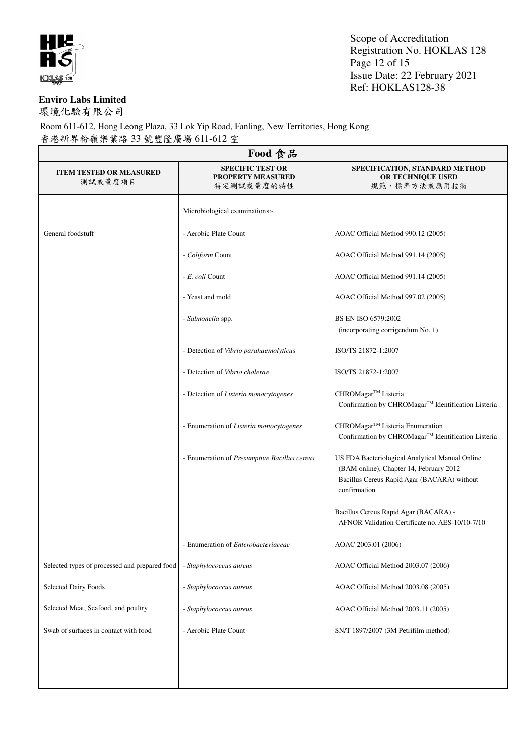

Scope of Accreditation Registration No. HOKLAS 128 Page 12 of 15 Issue Date: 22 February 2021 Ref: HOKLAS128-38

#### **Enviro Labs Limited**

環境化驗有限公司

| Food 食品                                       |                                                                   |                                                                                                                                                           |  |  |
|-----------------------------------------------|-------------------------------------------------------------------|-----------------------------------------------------------------------------------------------------------------------------------------------------------|--|--|
| <b>ITEM TESTED OR MEASURED</b><br>測試或量度項目     | <b>SPECIFIC TEST OR</b><br><b>PROPERTY MEASURED</b><br>特定測試或量度的特性 | SPECIFICATION, STANDARD METHOD<br>OR TECHNIQUE USED<br>規範、標準方法或應用技術                                                                                       |  |  |
|                                               | Microbiological examinations:-                                    |                                                                                                                                                           |  |  |
| General foodstuff                             | - Aerobic Plate Count                                             | AOAC Official Method 990.12 (2005)                                                                                                                        |  |  |
|                                               | - Coliform Count                                                  | AOAC Official Method 991.14 (2005)                                                                                                                        |  |  |
|                                               | - E. coli Count                                                   | AOAC Official Method 991.14 (2005)                                                                                                                        |  |  |
|                                               | - Yeast and mold                                                  | AOAC Official Method 997.02 (2005)                                                                                                                        |  |  |
|                                               | - Salmonella spp.                                                 | BS EN ISO 6579:2002<br>(incorporating corrigendum No. 1)                                                                                                  |  |  |
|                                               | - Detection of Vibrio parahaemolyticus                            | ISO/TS 21872-1:2007                                                                                                                                       |  |  |
|                                               | - Detection of Vibrio cholerae                                    | ISO/TS 21872-1:2007                                                                                                                                       |  |  |
|                                               | - Detection of Listeria monocytogenes                             | CHROMagar™ Listeria<br>Confirmation by CHROMagar™ Identification Listeria                                                                                 |  |  |
|                                               | - Enumeration of Listeria monocytogenes                           | CHROMagar™ Listeria Enumeration<br>Confirmation by CHROMagar™ Identification Listeria                                                                     |  |  |
|                                               | - Enumeration of Presumptive Bacillus cereus                      | US FDA Bacteriological Analytical Manual Online<br>(BAM online), Chapter 14, February 2012<br>Bacillus Cereus Rapid Agar (BACARA) without<br>confirmation |  |  |
|                                               |                                                                   | Bacillus Cereus Rapid Agar (BACARA) -<br>AFNOR Validation Certificate no. AES-10/10-7/10                                                                  |  |  |
|                                               | - Enumeration of <i>Enterobacteriaceae</i>                        | AOAC 2003.01 (2006)                                                                                                                                       |  |  |
| Selected types of processed and prepared food | - Staphylococcus aureus                                           | AOAC Official Method 2003.07 (2006)                                                                                                                       |  |  |
| <b>Selected Dairy Foods</b>                   | - Staphylococcus aureus                                           | AOAC Official Method 2003.08 (2005)                                                                                                                       |  |  |
| Selected Meat, Seafood, and poultry           | - Staphylococcus aureus                                           | AOAC Official Method 2003.11 (2005)                                                                                                                       |  |  |
| Swab of surfaces in contact with food         | - Aerobic Plate Count                                             | SN/T 1897/2007 (3M Petrifilm method)                                                                                                                      |  |  |
|                                               |                                                                   |                                                                                                                                                           |  |  |
|                                               |                                                                   |                                                                                                                                                           |  |  |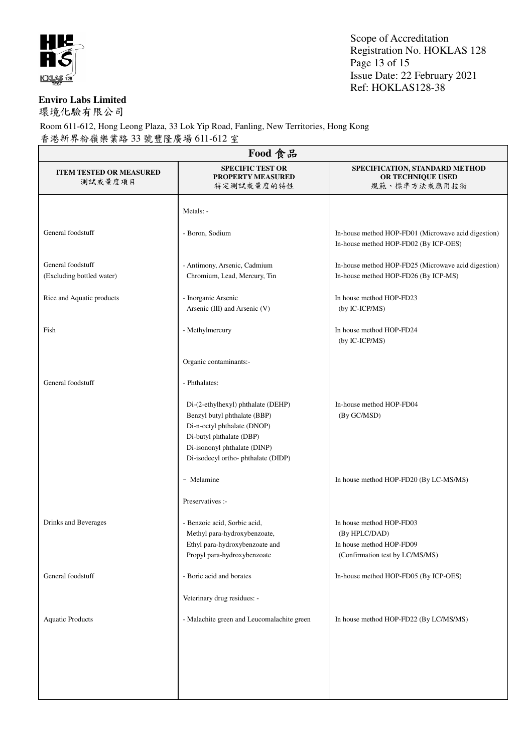

Scope of Accreditation Registration No. HOKLAS 128 Page 13 of 15 Issue Date: 22 February 2021 Ref: HOKLAS128-38

#### **Enviro Labs Limited**

環境化驗有限公司

| Food 食品                                        |                                                                                                                                                                                                     |                                                                                                          |  |  |
|------------------------------------------------|-----------------------------------------------------------------------------------------------------------------------------------------------------------------------------------------------------|----------------------------------------------------------------------------------------------------------|--|--|
| <b>ITEM TESTED OR MEASURED</b><br>測試或量度項目      | <b>SPECIFIC TEST OR</b><br><b>PROPERTY MEASURED</b><br>特定測試或量度的特性                                                                                                                                   | SPECIFICATION, STANDARD METHOD<br>OR TECHNIQUE USED<br>規範、標準方法或應用技術                                      |  |  |
|                                                | Metals: -                                                                                                                                                                                           |                                                                                                          |  |  |
| General foodstuff                              | - Boron, Sodium                                                                                                                                                                                     | In-house method HOP-FD01 (Microwave acid digestion)<br>In-house method HOP-FD02 (By ICP-OES)             |  |  |
| General foodstuff<br>(Excluding bottled water) | - Antimony, Arsenic, Cadmium<br>Chromium, Lead, Mercury, Tin                                                                                                                                        | In-house method HOP-FD25 (Microwave acid digestion)<br>In-house method HOP-FD26 (By ICP-MS)              |  |  |
| Rice and Aquatic products                      | - Inorganic Arsenic<br>Arsenic (III) and Arsenic (V)                                                                                                                                                | In house method HOP-FD23<br>(by IC-ICP/MS)                                                               |  |  |
| Fish                                           | - Methylmercury                                                                                                                                                                                     | In house method HOP-FD24<br>(by IC-ICP/MS)                                                               |  |  |
|                                                | Organic contaminants:-                                                                                                                                                                              |                                                                                                          |  |  |
| General foodstuff                              | - Phthalates:                                                                                                                                                                                       |                                                                                                          |  |  |
|                                                | Di-(2-ethylhexyl) phthalate (DEHP)<br>Benzyl butyl phthalate (BBP)<br>Di-n-octyl phthalate (DNOP)<br>Di-butyl phthalate (DBP)<br>Di-isononyl phthalate (DINP)<br>Di-isodecyl ortho-phthalate (DIDP) | In-house method HOP-FD04<br>(By GC/MSD)                                                                  |  |  |
|                                                | - Melamine                                                                                                                                                                                          | In house method HOP-FD20 (By LC-MS/MS)                                                                   |  |  |
|                                                | Preservatives :-                                                                                                                                                                                    |                                                                                                          |  |  |
| Drinks and Beverages                           | - Benzoic acid, Sorbic acid,<br>Methyl para-hydroxybenzoate,<br>Ethyl para-hydroxybenzoate and<br>Propyl para-hydroxybenzoate                                                                       | In house method HOP-FD03<br>(By HPLC/DAD)<br>In house method HOP-FD09<br>(Confirmation test by LC/MS/MS) |  |  |
| General foodstuff                              | - Boric acid and borates                                                                                                                                                                            | In-house method HOP-FD05 (By ICP-OES)                                                                    |  |  |
|                                                | Veterinary drug residues: -                                                                                                                                                                         |                                                                                                          |  |  |
| <b>Aquatic Products</b>                        | - Malachite green and Leucomalachite green                                                                                                                                                          | In house method HOP-FD22 (By LC/MS/MS)                                                                   |  |  |
|                                                |                                                                                                                                                                                                     |                                                                                                          |  |  |
|                                                |                                                                                                                                                                                                     |                                                                                                          |  |  |
|                                                |                                                                                                                                                                                                     |                                                                                                          |  |  |
|                                                |                                                                                                                                                                                                     |                                                                                                          |  |  |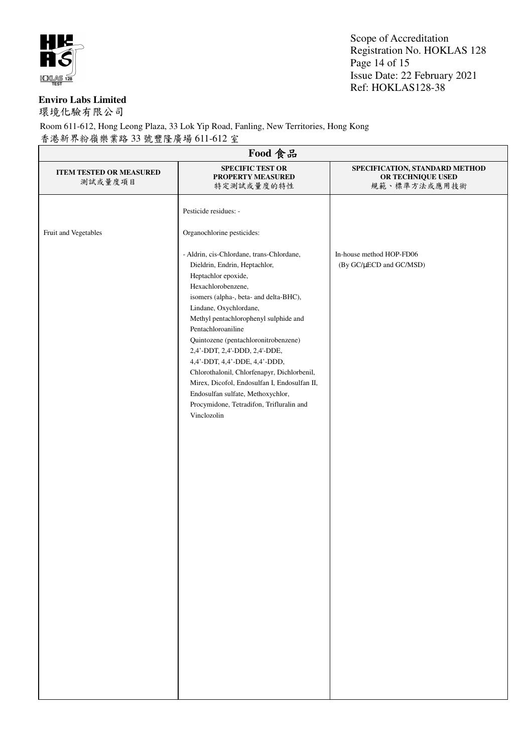

Scope of Accreditation Registration No. HOKLAS 128 Page 14 of 15 Issue Date: 22 February 2021 Ref: HOKLAS128-38

#### **Enviro Labs Limited**

環境化驗有限公司

| Food 食品                                   |                                                                                                                                                                                                                                                                                                                                                                                                                                                                                                                                                                     |                                                                     |  |  |
|-------------------------------------------|---------------------------------------------------------------------------------------------------------------------------------------------------------------------------------------------------------------------------------------------------------------------------------------------------------------------------------------------------------------------------------------------------------------------------------------------------------------------------------------------------------------------------------------------------------------------|---------------------------------------------------------------------|--|--|
| <b>ITEM TESTED OR MEASURED</b><br>測試或量度項目 | <b>SPECIFIC TEST OR</b><br>PROPERTY MEASURED<br>特定測試或量度的特性                                                                                                                                                                                                                                                                                                                                                                                                                                                                                                          | SPECIFICATION, STANDARD METHOD<br>OR TECHNIQUE USED<br>規範、標準方法或應用技術 |  |  |
|                                           | Pesticide residues: -                                                                                                                                                                                                                                                                                                                                                                                                                                                                                                                                               |                                                                     |  |  |
| Fruit and Vegetables                      | Organochlorine pesticides:                                                                                                                                                                                                                                                                                                                                                                                                                                                                                                                                          |                                                                     |  |  |
|                                           | - Aldrin, cis-Chlordane, trans-Chlordane,<br>Dieldrin, Endrin, Heptachlor,<br>Heptachlor epoxide,<br>Hexachlorobenzene,<br>isomers (alpha-, beta- and delta-BHC),<br>Lindane, Oxychlordane,<br>Methyl pentachlorophenyl sulphide and<br>Pentachloroaniline<br>Quintozene (pentachloronitrobenzene)<br>2,4'-DDT, 2,4'-DDD, 2,4'-DDE,<br>4,4'-DDT, 4,4'-DDE, 4,4'-DDD,<br>Chlorothalonil, Chlorfenapyr, Dichlorbenil,<br>Mirex, Dicofol, Endosulfan I, Endosulfan II,<br>Endosulfan sulfate, Methoxychlor,<br>Procymidone, Tetradifon, Trifluralin and<br>Vinclozolin | In-house method HOP-FD06<br>(By GC/µECD and GC/MSD)                 |  |  |
|                                           |                                                                                                                                                                                                                                                                                                                                                                                                                                                                                                                                                                     |                                                                     |  |  |